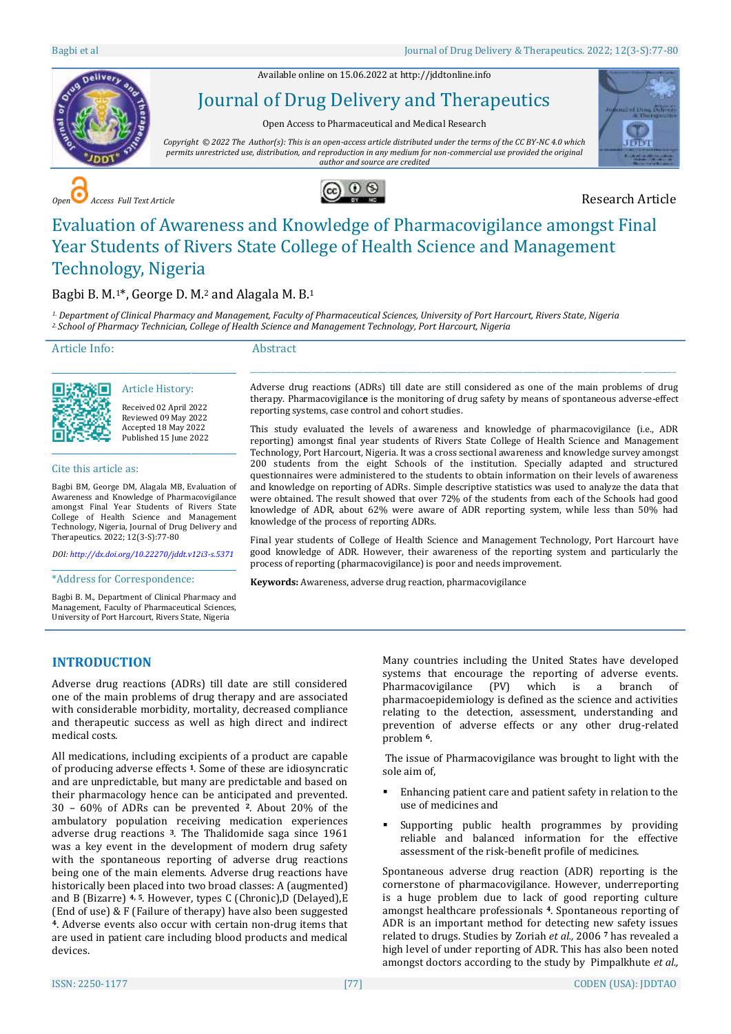Available online on 15.06.2022 a[t http://jddtonline.info](http://jddtonline.info/)



Journal of Drug Delivery and Therapeutics

Open Access to Pharmaceutical and Medical Research

*Copyright © 2022 The Author(s): This is an open-access article distributed under the terms of the CC BY-NC 4.0 which permits unrestricted use, distribution, and reproduction in any medium for non-commercial use provided the original author and source are credited*



*Access Full Text Article* **CO** *O* **O O O CO** *O O O CO <i>O* **CO** *O* **CO** *CO CO CO CO CO CO CO CO CO CO CO CO CO CO CO CO CO CO*



# Evaluation of Awareness and Knowledge of Pharmacovigilance amongst Final Year Students of Rivers State College of Health Science and Management Technology, Nigeria

# Bagbi B. M.1\*, George D. M.<sup>2</sup> and Alagala M. B.<sup>1</sup>

\_\_\_\_\_\_\_\_\_\_\_\_\_\_\_\_\_\_\_\_\_\_\_\_\_\_\_\_\_\_\_\_\_\_\_\_\_\_\_\_\_\_\_\_\_ Article History: Received 02 April 2022 Reviewed 09 May 2022 Accepted 18 May 2022 Published 15 June 2022 \_\_\_\_\_\_\_\_\_\_\_\_\_\_\_\_\_\_\_\_\_\_\_\_\_\_\_\_\_\_\_\_\_\_\_\_\_\_\_\_\_\_\_\_\_

Bagbi BM, George DM, Alagala MB, Evaluation of Awareness and Knowledge of Pharmacovigilance amongst Final Year Students of Rivers State College of Health Science and Management Technology, Nigeria, Journal of Drug Delivery and

*DOI[: http://dx.doi.org/10.22270/jddt.v12i3-s.5371](http://dx.doi.org/10.22270/jddt.v12i3-s.5371)*  \_\_\_\_\_\_\_\_\_\_\_\_\_\_\_\_\_\_\_\_\_\_\_\_\_\_\_\_\_\_\_\_\_\_\_\_\_\_\_\_\_\_\_\_\_ \*Address for Correspondence:

Bagbi B. M., Department of Clinical Pharmacy and Management, Faculty of Pharmaceutical Sciences, University of Port Harcourt, Rivers State, Nigeria

*1. Department of Clinical Pharmacy and Management, Faculty of Pharmaceutical Sciences, University of Port Harcourt, Rivers State, Nigeria 2. School of Pharmacy Technician, College of Health Science and Management Technology, Port Harcourt, Nigeria*

Article Info:

Cite this article as:

Therapeutics. 2022; 12(3-S):77-80

#### Abstract

Adverse drug reactions (ADRs) till date are still considered as one of the main problems of drug therapy. Pharmacovigilanc**e** is the monitoring of drug safety by means of spontaneous adverse-effect reporting systems, case control and cohort studies.

 $\_$  ,  $\_$  ,  $\_$  ,  $\_$  ,  $\_$  ,  $\_$  ,  $\_$  ,  $\_$  ,  $\_$  ,  $\_$  ,  $\_$  ,  $\_$  ,  $\_$  ,  $\_$  ,  $\_$  ,  $\_$  ,  $\_$  ,  $\_$  ,  $\_$  ,  $\_$  ,  $\_$  ,  $\_$  ,  $\_$  ,  $\_$  ,  $\_$  ,  $\_$  ,  $\_$  ,  $\_$  ,  $\_$  ,  $\_$  ,  $\_$  ,  $\_$  ,  $\_$  ,  $\_$  ,  $\_$  ,  $\_$  ,  $\_$  ,

This study evaluated the levels of awareness and knowledge of pharmacovigilance (i.e., ADR reporting) amongst final year students of Rivers State College of Health Science and Management Technology, Port Harcourt, Nigeria. It was a cross sectional awareness and knowledge survey amongst 200 students from the eight Schools of the institution. Specially adapted and structured questionnaires were administered to the students to obtain information on their levels of awareness and knowledge on reporting of ADRs. Simple descriptive statistics was used to analyze the data that were obtained. The result showed that over 72% of the students from each of the Schools had good knowledge of ADR, about 62% were aware of ADR reporting system, while less than 50% had knowledge of the process of reporting ADRs.

Final year students of College of Health Science and Management Technology, Port Harcourt have good knowledge of ADR. However, their awareness of the reporting system and particularly the process of reporting (pharmacovigilance) is poor and needs improvement.

**Keywords:** Awareness, adverse drug reaction, pharmacovigilance

# **INTRODUCTION**

Adverse drug reactions (ADRs) till date are still considered one of the main problems of drug therapy and are associated with considerable morbidity, mortality, decreased compliance and therapeutic success as well as high direct and indirect medical costs.

All medications, including excipients of a product are capable of producing adverse effects **<sup>1</sup>**. Some of these are idiosyncratic and are unpredictable, but many are predictable and based on their pharmacology hence can be anticipated and prevented. 30 – 60% of ADRs can be prevented **2**. About 20% of the ambulatory population receiving medication experiences adverse drug reactions **3**. The Thalidomide saga since 1961 was a key event in the development of modern drug safety with the spontaneous reporting of adverse drug reactions being one of the main elements. Adverse drug reactions have historically been placed into two broad classes: A (augmented) and B (Bizarre) **4, 5**. However, types C (Chronic),D (Delayed),E (End of use) & F (Failure of therapy) have also been suggested **<sup>4</sup>**. Adverse events also occur with certain non-drug items that are used in patient care including blood products and medical devices.

Many countries including the United States have developed systems that encourage the reporting of adverse events. Pharmacovigilance (PV) which is a branch of pharmacoepidemiology is defined as the science and activities relating to the detection, assessment, understanding and prevention of adverse effects or any other drug-related problem **6**.

The issue of Pharmacovigilance was brought to light with the sole aim of,

- Enhancing patient care and patient safety in relation to the use of medicines and
- Supporting public health programmes by providing reliable and balanced information for the effective assessment of the risk-benefit profile of medicines.

Spontaneous adverse drug reaction (ADR) reporting is the cornerstone of pharmacovigilance. However, underreporting is a huge problem due to lack of good reporting culture amongst healthcare professionals **<sup>4</sup>**. Spontaneous reporting of ADR is an important method for detecting new safety issues related to drugs. Studies by Zoriah *et al.,* 2006 **<sup>7</sup>** has revealed a high level of under reporting of ADR. This has also been noted amongst doctors according to the study by Pimpalkhute *et al.,*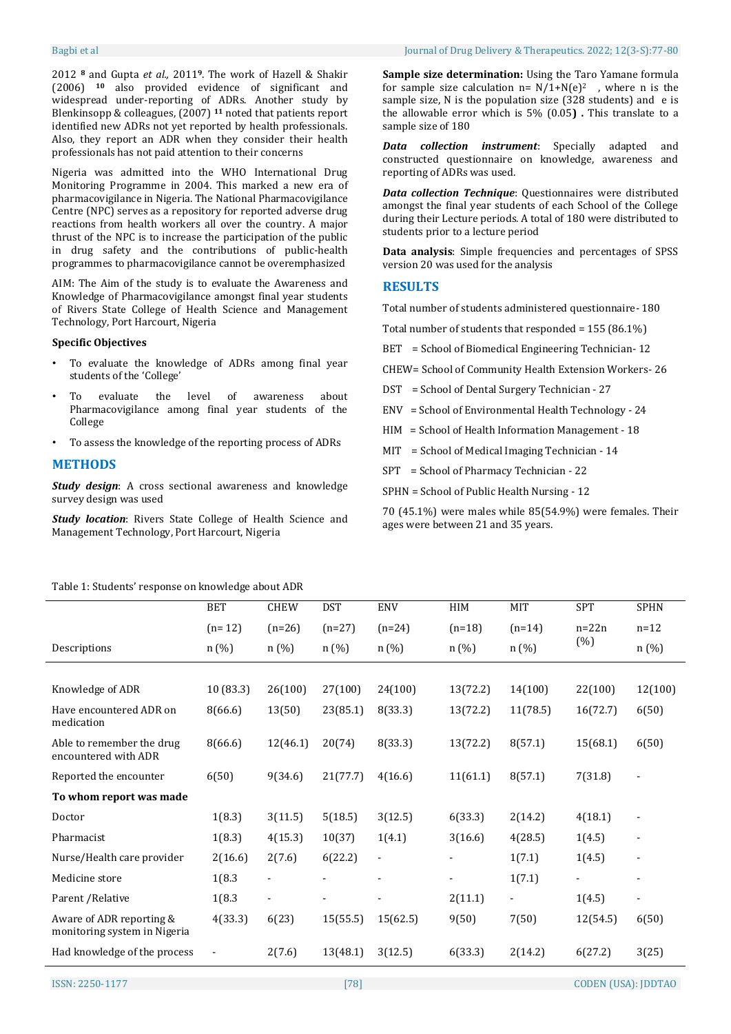Bagbi et al Journal of Drug Delivery & Therapeutics. 2022; 12(3-S):77-80

2012 **<sup>8</sup>** and Gupta *et al.,* 2011**9**. The work of Hazell & Shakir (2006) **<sup>10</sup>** also provided evidence of significant and widespread under-reporting of ADRs. Another study by Blenkinsopp & colleagues, (2007) **<sup>11</sup>** noted that patients report identified new ADRs not yet reported by health professionals. Also, they report an ADR when they consider their health professionals has not paid attention to their concerns

Nigeria was admitted into the WHO International Drug Monitoring Programme in 2004. This marked a new era of pharmacovigilance in Nigeria. The National Pharmacovigilance Centre (NPC) serves as a repository for reported adverse drug reactions from health workers all over the country. A major thrust of the NPC is to increase the participation of the public in drug safety and the contributions of public-health programmes to pharmacovigilance cannot be overemphasized

AIM: The Aim of the study is to evaluate the Awareness and Knowledge of Pharmacovigilance amongst final year students of Rivers State College of Health Science and Management Technology, Port Harcourt, Nigeria

#### **Specific Objectives**

- To evaluate the knowledge of ADRs among final year students of the 'College'
- To evaluate the level of awareness about Pharmacovigilance among final year students of the College
- To assess the knowledge of the reporting process of ADRs

### **METHODS**

*Study design*: A cross sectional awareness and knowledge survey design was used

*Study location*: Rivers State College of Health Science and Management Technology, Port Harcourt, Nigeria

**Sample size determination:** Using the Taro Yamane formula for sample size calculation  $n = N/1+N(e)^2$ , where n is the sample size, N is the population size (328 students) and e is the allowable error which is 5% (0.05**) .** This translate to a sample size of 180

*Data collection instrument*: Specially adapted and constructed questionnaire on knowledge, awareness and reporting of ADRs was used.

*Data collection Technique*: Questionnaires were distributed amongst the final year students of each School of the College during their Lecture periods. A total of 180 were distributed to students prior to a lecture period

**Data analysis**: Simple frequencies and percentages of SPSS version 20 was used for the analysis

# **RESULTS**

Total number of students administered questionnaire- 180

Total number of students that responded = 155 (86.1%)

BET = School of Biomedical Engineering Technician-12

CHEW= School of Community Health Extension Workers- 26

- DST = School of Dental Surgery Technician 27
- ENV = School of Environmental Health Technology 24
- HIM = School of Health Information Management 18
- MIT = School of Medical Imaging Technician 14
- SPT = School of Pharmacy Technician 22
- SPHN = School of Public Health Nursing 12

70 (45.1%) were males while 85(54.9%) were females. Their ages were between 21 and 35 years.

#### Table 1: Students' response on knowledge about ADR

|                                                          | <b>BET</b> | <b>CHEW</b>    | <b>DST</b> | <b>ENV</b>     | HIM      | MIT      | <b>SPT</b> | <b>SPHN</b> |
|----------------------------------------------------------|------------|----------------|------------|----------------|----------|----------|------------|-------------|
|                                                          | $(n=12)$   | $(n=26)$       | $(n=27)$   | $(n=24)$       | $(n=18)$ | $(n=14)$ | $n=22n$    | $n=12$      |
| Descriptions                                             | n (%)      | n (%)          | n (%)      | n(%)           | n (%)    | n (%)    | (%)        | n(%)        |
|                                                          |            |                |            |                |          |          |            |             |
| Knowledge of ADR                                         | 10 (83.3)  | 26(100)        | 27(100)    | 24(100)        | 13(72.2) | 14(100)  | 22(100)    | 12(100)     |
| Have encountered ADR on<br>medication                    | 8(66.6)    | 13(50)         | 23(85.1)   | 8(33.3)        | 13(72.2) | 11(78.5) | 16(72.7)   | 6(50)       |
| Able to remember the drug<br>encountered with ADR        | 8(66.6)    | 12(46.1)       | 20(74)     | 8(33.3)        | 13(72.2) | 8(57.1)  | 15(68.1)   | 6(50)       |
| Reported the encounter                                   | 6(50)      | 9(34.6)        | 21(77.7)   | 4(16.6)        | 11(61.1) | 8(57.1)  | 7(31.8)    |             |
| To whom report was made                                  |            |                |            |                |          |          |            |             |
| Doctor                                                   | 1(8.3)     | 3(11.5)        | 5(18.5)    | 3(12.5)        | 6(33.3)  | 2(14.2)  | 4(18.1)    | ۰           |
| Pharmacist                                               | 1(8.3)     | 4(15.3)        | 10(37)     | 1(4.1)         | 3(16.6)  | 4(28.5)  | 1(4.5)     | ٠           |
| Nurse/Health care provider                               | 2(16.6)    | 2(7.6)         | 6(22.2)    | $\overline{a}$ |          | 1(7.1)   | 1(4.5)     | ۰           |
| Medicine store                                           | 1(8.3)     |                |            |                | ۰        | 1(7.1)   |            | ۰           |
| Parent / Relative                                        | 1(8.3)     | $\overline{a}$ |            |                | 2(11.1)  | ۰        | 1(4.5)     | -           |
| Aware of ADR reporting &<br>monitoring system in Nigeria | 4(33.3)    | 6(23)          | 15(55.5)   | 15(62.5)       | 9(50)    | 7(50)    | 12(54.5)   | 6(50)       |
| Had knowledge of the process                             |            | 2(7.6)         | 13(48.1)   | 3(12.5)        | 6(33.3)  | 2(14.2)  | 6(27.2)    | 3(25)       |
|                                                          |            |                |            |                |          |          |            |             |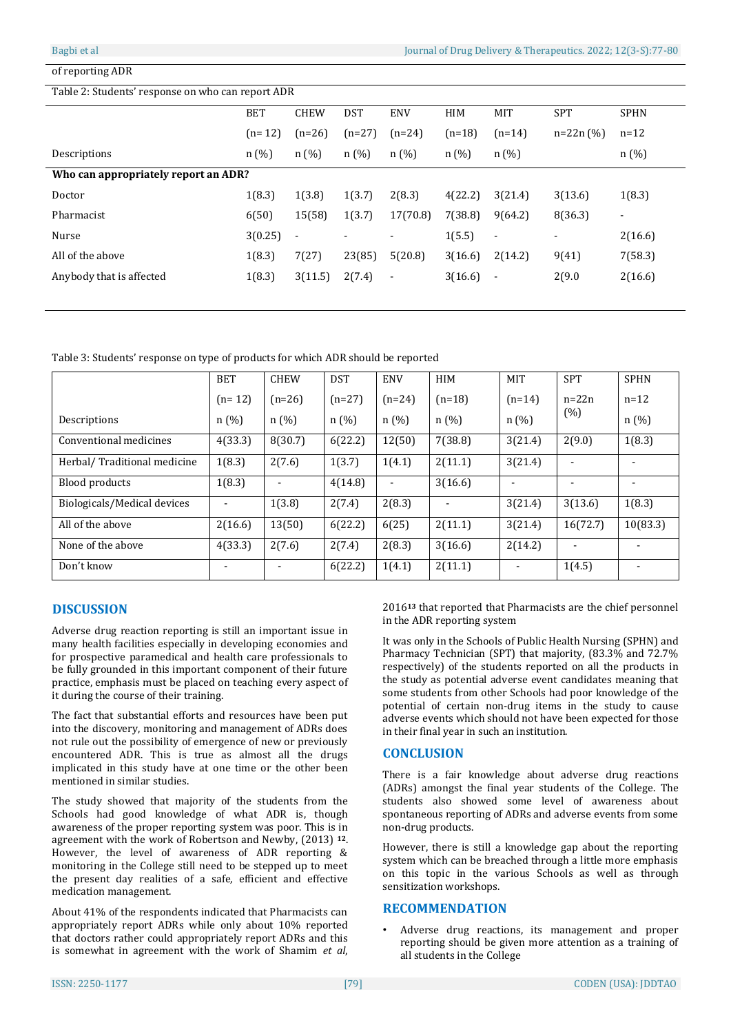#### of reporting ADR

#### Table 2: Students' response on who can report ADR

|                                      | <b>BET</b> | <b>CHEW</b>              | <b>DST</b> | <b>ENV</b>               | HIM      | <b>MIT</b>               | <b>SPT</b>               | <b>SPHN</b>    |
|--------------------------------------|------------|--------------------------|------------|--------------------------|----------|--------------------------|--------------------------|----------------|
|                                      | $(n=12)$   | $(n=26)$                 | $(n=27)$   | $(n=24)$                 | $(n=18)$ | $(n=14)$                 | $n=22n(%)$               | $n = 12$       |
| Descriptions                         | n(%)       | n (%)                    | n (%)      | n(%)                     | n(%)     | n(%)                     |                          | n(%)           |
| Who can appropriately report an ADR? |            |                          |            |                          |          |                          |                          |                |
| Doctor                               | 1(8.3)     | 1(3.8)                   | 1(3.7)     | 2(8.3)                   | 4(22.2)  | 3(21.4)                  | 3(13.6)                  | 1(8.3)         |
| Pharmacist                           | 6(50)      | 15(58)                   | 1(3.7)     | 17(70.8)                 | 7(38.8)  | 9(64.2)                  | 8(36.3)                  | $\blacksquare$ |
| Nurse                                | 3(0.25)    | $\overline{\phantom{0}}$ | ۰          | $\blacksquare$           | 1(5.5)   | $\overline{\phantom{a}}$ | $\overline{\phantom{a}}$ | 2(16.6)        |
| All of the above                     | 1(8.3)     | 7(27)                    | 23(85)     | 5(20.8)                  | 3(16.6)  | 2(14.2)                  | 9(41)                    | 7(58.3)        |
| Anybody that is affected             | 1(8.3)     | 3(11.5)                  | 2(7.4)     | $\overline{\phantom{a}}$ | 3(16.6)  | $\overline{a}$           | 2(9.0)                   | 2(16.6)        |
|                                      |            |                          |            |                          |          |                          |                          |                |

Table 3: Students' response on type of products for which ADR should be reported

|                             | <b>BET</b>               | <b>CHEW</b> | <b>DST</b> | <b>ENV</b> | <b>HIM</b> | <b>MIT</b>                   | <b>SPT</b>     | <b>SPHN</b> |
|-----------------------------|--------------------------|-------------|------------|------------|------------|------------------------------|----------------|-------------|
|                             | $(n=12)$                 | $(n=26)$    | $(n=27)$   | $(n=24)$   | $(n=18)$   | $(n=14)$                     | $n=22n$        | $n=12$      |
| Descriptions                | n(%)                     | n(%)        | n(%)       | n(%)       | n(%)       | n(%)                         | (%)            | n(%)        |
| Conventional medicines      | 4(33.3)                  | 8(30.7)     | 6(22.2)    | 12(50)     | 7(38.8)    | 3(21.4)                      | 2(9.0)         | 1(8.3)      |
| Herbal/Traditional medicine | 1(8.3)                   | 2(7.6)      | 1(3.7)     | 1(4.1)     | 2(11.1)    | 3(21.4)                      |                |             |
| Blood products              | 1(8.3)                   |             | 4(14.8)    | ٠          | 3(16.6)    |                              |                |             |
| Biologicals/Medical devices |                          | 1(3.8)      | 2(7.4)     | 2(8.3)     |            | 3(21.4)                      | 3(13.6)        | 1(8.3)      |
| All of the above            | 2(16.6)                  | 13(50)      | 6(22.2)    | 6(25)      | 2(11.1)    | 3(21.4)                      | 16(72.7)       | 10(83.3)    |
| None of the above           | 4(33.3)                  | 2(7.6)      | 2(7.4)     | 2(8.3)     | 3(16.6)    | 2(14.2)                      | $\blacksquare$ |             |
| Don't know                  | $\overline{\phantom{0}}$ |             | 6(22.2)    | 1(4.1)     | 2(11.1)    | $\qquad \qquad \blacksquare$ | 1(4.5)         |             |

# **DISCUSSION**

Adverse drug reaction reporting is still an important issue in many health facilities especially in developing economies and for prospective paramedical and health care professionals to be fully grounded in this important component of their future practice, emphasis must be placed on teaching every aspect of it during the course of their training.

The fact that substantial efforts and resources have been put into the discovery, monitoring and management of ADRs does not rule out the possibility of emergence of new or previously encountered ADR. This is true as almost all the drugs implicated in this study have at one time or the other been mentioned in similar studies.

The study showed that majority of the students from the Schools had good knowledge of what ADR is, though awareness of the proper reporting system was poor. This is in agreement with the work of Robertson and Newby, (2013) **<sup>12</sup>**. However, the level of awareness of ADR reporting & monitoring in the College still need to be stepped up to meet the present day realities of a safe, efficient and effective medication management.

About 41% of the respondents indicated that Pharmacists can appropriately report ADRs while only about 10% reported that doctors rather could appropriately report ADRs and this is somewhat in agreement with the work of Shamim *et al*,

2016**<sup>13</sup>** that reported that Pharmacists are the chief personnel in the ADR reporting system

It was only in the Schools of Public Health Nursing (SPHN) and Pharmacy Technician (SPT) that majority, (83.3% and 72.7% respectively) of the students reported on all the products in the study as potential adverse event candidates meaning that some students from other Schools had poor knowledge of the potential of certain non-drug items in the study to cause adverse events which should not have been expected for those in their final year in such an institution.

# **CONCLUSION**

There is a fair knowledge about adverse drug reactions (ADRs) amongst the final year students of the College. The students also showed some level of awareness about spontaneous reporting of ADRs and adverse events from some non-drug products.

However, there is still a knowledge gap about the reporting system which can be breached through a little more emphasis on this topic in the various Schools as well as through sensitization workshops.

# **RECOMMENDATION**

• Adverse drug reactions, its management and proper reporting should be given more attention as a training of all students in the College